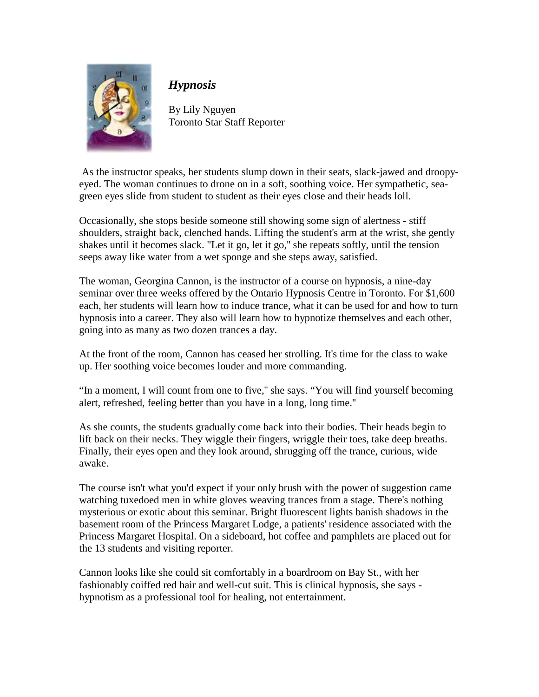

## *Hypnosis*

By Lily Nguyen Toronto Star Staff Reporter

 As the instructor speaks, her students slump down in their seats, slack-jawed and droopyeyed. The woman continues to drone on in a soft, soothing voice. Her sympathetic, seagreen eyes slide from student to student as their eyes close and their heads loll.

Occasionally, she stops beside someone still showing some sign of alertness - stiff shoulders, straight back, clenched hands. Lifting the student's arm at the wrist, she gently shakes until it becomes slack. "Let it go, let it go,'' she repeats softly, until the tension seeps away like water from a wet sponge and she steps away, satisfied.

The woman, Georgina Cannon, is the instructor of a course on hypnosis, a nine-day seminar over three weeks offered by the Ontario Hypnosis Centre in Toronto. For \$1,600 each, her students will learn how to induce trance, what it can be used for and how to turn hypnosis into a career. They also will learn how to hypnotize themselves and each other, going into as many as two dozen trances a day.

At the front of the room, Cannon has ceased her strolling. It's time for the class to wake up. Her soothing voice becomes louder and more commanding.

"In a moment, I will count from one to five,'' she says. "You will find yourself becoming alert, refreshed, feeling better than you have in a long, long time.''

As she counts, the students gradually come back into their bodies. Their heads begin to lift back on their necks. They wiggle their fingers, wriggle their toes, take deep breaths. Finally, their eyes open and they look around, shrugging off the trance, curious, wide awake.

The course isn't what you'd expect if your only brush with the power of suggestion came watching tuxedoed men in white gloves weaving trances from a stage. There's nothing mysterious or exotic about this seminar. Bright fluorescent lights banish shadows in the basement room of the Princess Margaret Lodge, a patients' residence associated with the Princess Margaret Hospital. On a sideboard, hot coffee and pamphlets are placed out for the 13 students and visiting reporter.

Cannon looks like she could sit comfortably in a boardroom on Bay St., with her fashionably coiffed red hair and well-cut suit. This is clinical hypnosis, she says hypnotism as a professional tool for healing, not entertainment.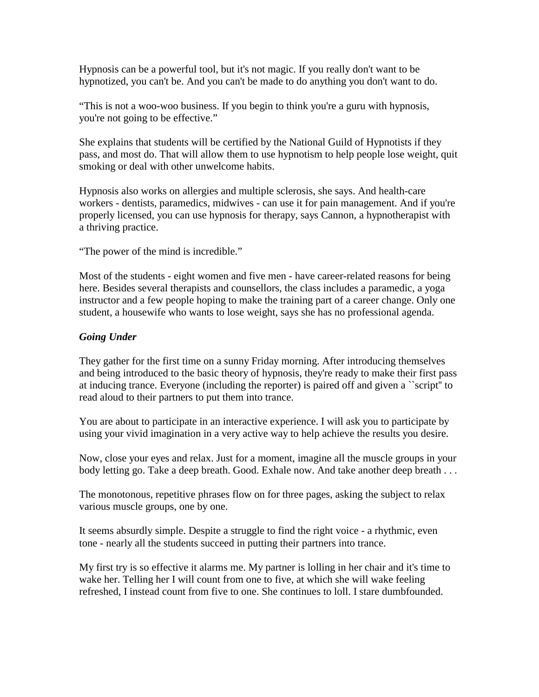Hypnosis can be a powerful tool, but it's not magic. If you really don't want to be hypnotized, you can't be. And you can't be made to do anything you don't want to do.

"This is not a woo-woo business. If you begin to think you're a guru with hypnosis, you're not going to be effective."

She explains that students will be certified by the National Guild of Hypnotists if they pass, and most do. That will allow them to use hypnotism to help people lose weight, quit smoking or deal with other unwelcome habits.

Hypnosis also works on allergies and multiple sclerosis, she says. And health-care workers - dentists, paramedics, midwives - can use it for pain management. And if you're properly licensed, you can use hypnosis for therapy, says Cannon, a hypnotherapist with a thriving practice.

"The power of the mind is incredible."

Most of the students - eight women and five men - have career-related reasons for being here. Besides several therapists and counsellors, the class includes a paramedic, a yoga instructor and a few people hoping to make the training part of a career change. Only one student, a housewife who wants to lose weight, says she has no professional agenda.

## *Going Under*

They gather for the first time on a sunny Friday morning. After introducing themselves and being introduced to the basic theory of hypnosis, they're ready to make their first pass at inducing trance. Everyone (including the reporter) is paired off and given a ``script'' to read aloud to their partners to put them into trance.

You are about to participate in an interactive experience. I will ask you to participate by using your vivid imagination in a very active way to help achieve the results you desire.

Now, close your eyes and relax. Just for a moment, imagine all the muscle groups in your body letting go. Take a deep breath. Good. Exhale now. And take another deep breath . . .

The monotonous, repetitive phrases flow on for three pages, asking the subject to relax various muscle groups, one by one.

It seems absurdly simple. Despite a struggle to find the right voice - a rhythmic, even tone - nearly all the students succeed in putting their partners into trance.

My first try is so effective it alarms me. My partner is lolling in her chair and it's time to wake her. Telling her I will count from one to five, at which she will wake feeling refreshed, I instead count from five to one. She continues to loll. I stare dumbfounded.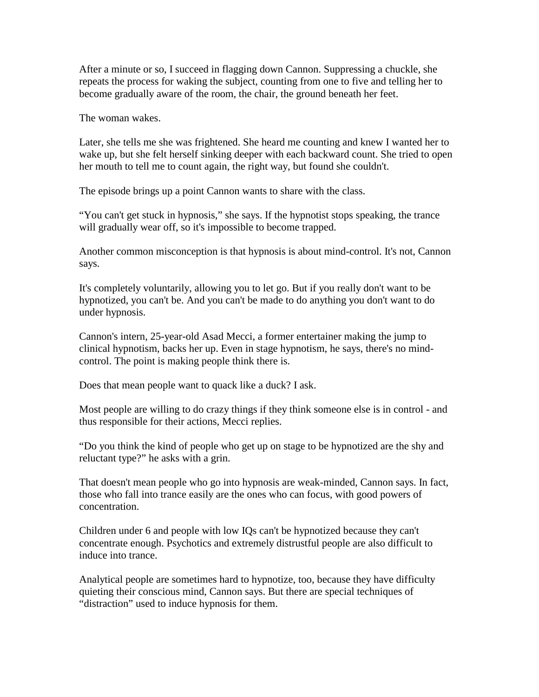After a minute or so, I succeed in flagging down Cannon. Suppressing a chuckle, she repeats the process for waking the subject, counting from one to five and telling her to become gradually aware of the room, the chair, the ground beneath her feet.

The woman wakes.

Later, she tells me she was frightened. She heard me counting and knew I wanted her to wake up, but she felt herself sinking deeper with each backward count. She tried to open her mouth to tell me to count again, the right way, but found she couldn't.

The episode brings up a point Cannon wants to share with the class.

"You can't get stuck in hypnosis," she says. If the hypnotist stops speaking, the trance will gradually wear off, so it's impossible to become trapped.

Another common misconception is that hypnosis is about mind-control. It's not, Cannon says.

It's completely voluntarily, allowing you to let go. But if you really don't want to be hypnotized, you can't be. And you can't be made to do anything you don't want to do under hypnosis.

Cannon's intern, 25-year-old Asad Mecci, a former entertainer making the jump to clinical hypnotism, backs her up. Even in stage hypnotism, he says, there's no mindcontrol. The point is making people think there is.

Does that mean people want to quack like a duck? I ask.

Most people are willing to do crazy things if they think someone else is in control - and thus responsible for their actions, Mecci replies.

"Do you think the kind of people who get up on stage to be hypnotized are the shy and reluctant type?" he asks with a grin.

That doesn't mean people who go into hypnosis are weak-minded, Cannon says. In fact, those who fall into trance easily are the ones who can focus, with good powers of concentration.

Children under 6 and people with low IQs can't be hypnotized because they can't concentrate enough. Psychotics and extremely distrustful people are also difficult to induce into trance.

Analytical people are sometimes hard to hypnotize, too, because they have difficulty quieting their conscious mind, Cannon says. But there are special techniques of "distraction" used to induce hypnosis for them.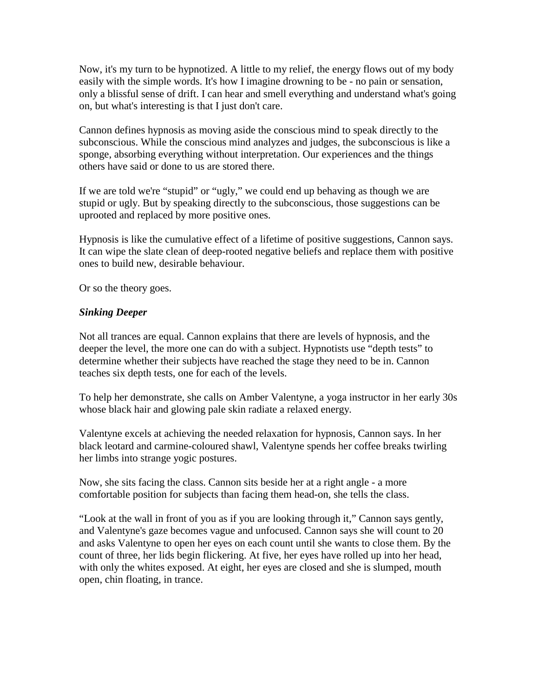Now, it's my turn to be hypnotized. A little to my relief, the energy flows out of my body easily with the simple words. It's how I imagine drowning to be - no pain or sensation, only a blissful sense of drift. I can hear and smell everything and understand what's going on, but what's interesting is that I just don't care.

Cannon defines hypnosis as moving aside the conscious mind to speak directly to the subconscious. While the conscious mind analyzes and judges, the subconscious is like a sponge, absorbing everything without interpretation. Our experiences and the things others have said or done to us are stored there.

If we are told we're "stupid" or "ugly," we could end up behaving as though we are stupid or ugly. But by speaking directly to the subconscious, those suggestions can be uprooted and replaced by more positive ones.

Hypnosis is like the cumulative effect of a lifetime of positive suggestions, Cannon says. It can wipe the slate clean of deep-rooted negative beliefs and replace them with positive ones to build new, desirable behaviour.

Or so the theory goes.

## *Sinking Deeper*

Not all trances are equal. Cannon explains that there are levels of hypnosis, and the deeper the level, the more one can do with a subject. Hypnotists use "depth tests" to determine whether their subjects have reached the stage they need to be in. Cannon teaches six depth tests, one for each of the levels.

To help her demonstrate, she calls on Amber Valentyne, a yoga instructor in her early 30s whose black hair and glowing pale skin radiate a relaxed energy.

Valentyne excels at achieving the needed relaxation for hypnosis, Cannon says. In her black leotard and carmine-coloured shawl, Valentyne spends her coffee breaks twirling her limbs into strange yogic postures.

Now, she sits facing the class. Cannon sits beside her at a right angle - a more comfortable position for subjects than facing them head-on, she tells the class.

"Look at the wall in front of you as if you are looking through it," Cannon says gently, and Valentyne's gaze becomes vague and unfocused. Cannon says she will count to 20 and asks Valentyne to open her eyes on each count until she wants to close them. By the count of three, her lids begin flickering. At five, her eyes have rolled up into her head, with only the whites exposed. At eight, her eyes are closed and she is slumped, mouth open, chin floating, in trance.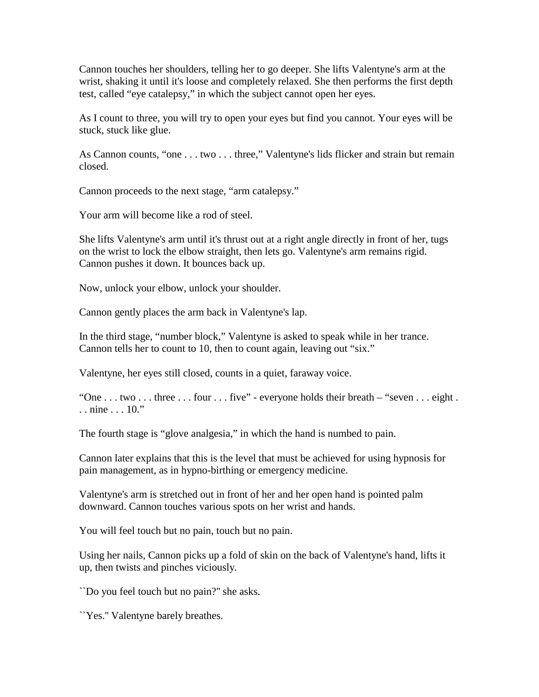Cannon touches her shoulders, telling her to go deeper. She lifts Valentyne's arm at the wrist, shaking it until it's loose and completely relaxed. She then performs the first depth test, called "eye catalepsy," in which the subject cannot open her eyes.

As I count to three, you will try to open your eyes but find you cannot. Your eyes will be stuck, stuck like glue.

As Cannon counts, "one . . . two . . . three," Valentyne's lids flicker and strain but remain closed.

Cannon proceeds to the next stage, "arm catalepsy."

Your arm will become like a rod of steel.

She lifts Valentyne's arm until it's thrust out at a right angle directly in front of her, tugs on the wrist to lock the elbow straight, then lets go. Valentyne's arm remains rigid. Cannon pushes it down. It bounces back up.

Now, unlock your elbow, unlock your shoulder.

Cannon gently places the arm back in Valentyne's lap.

In the third stage, "number block," Valentyne is asked to speak while in her trance. Cannon tells her to count to 10, then to count again, leaving out "six."

Valentyne, her eyes still closed, counts in a quiet, faraway voice.

"One . . . two . . . three . . . four . . . five" - everyone holds their breath – "seven . . . eight . . . nine . . . 10."

The fourth stage is "glove analgesia," in which the hand is numbed to pain.

Cannon later explains that this is the level that must be achieved for using hypnosis for pain management, as in hypno-birthing or emergency medicine.

Valentyne's arm is stretched out in front of her and her open hand is pointed palm downward. Cannon touches various spots on her wrist and hands.

You will feel touch but no pain, touch but no pain.

Using her nails, Cannon picks up a fold of skin on the back of Valentyne's hand, lifts it up, then twists and pinches viciously.

``Do you feel touch but no pain?'' she asks.

``Yes.'' Valentyne barely breathes.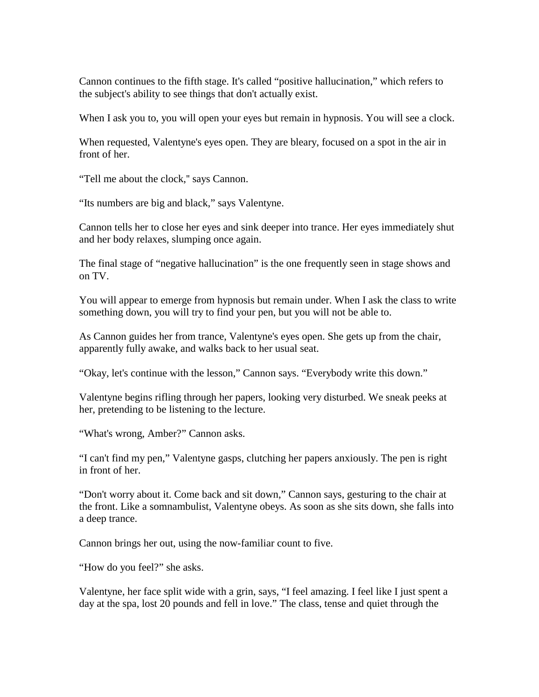Cannon continues to the fifth stage. It's called "positive hallucination," which refers to the subject's ability to see things that don't actually exist.

When I ask you to, you will open your eyes but remain in hypnosis. You will see a clock.

When requested, Valentyne's eyes open. They are bleary, focused on a spot in the air in front of her.

"Tell me about the clock,'' says Cannon.

"Its numbers are big and black," says Valentyne.

Cannon tells her to close her eyes and sink deeper into trance. Her eyes immediately shut and her body relaxes, slumping once again.

The final stage of "negative hallucination" is the one frequently seen in stage shows and on TV.

You will appear to emerge from hypnosis but remain under. When I ask the class to write something down, you will try to find your pen, but you will not be able to.

As Cannon guides her from trance, Valentyne's eyes open. She gets up from the chair, apparently fully awake, and walks back to her usual seat.

"Okay, let's continue with the lesson," Cannon says. "Everybody write this down."

Valentyne begins rifling through her papers, looking very disturbed. We sneak peeks at her, pretending to be listening to the lecture.

"What's wrong, Amber?" Cannon asks.

"I can't find my pen," Valentyne gasps, clutching her papers anxiously. The pen is right in front of her.

"Don't worry about it. Come back and sit down," Cannon says, gesturing to the chair at the front. Like a somnambulist, Valentyne obeys. As soon as she sits down, she falls into a deep trance.

Cannon brings her out, using the now-familiar count to five.

"How do you feel?" she asks.

Valentyne, her face split wide with a grin, says, "I feel amazing. I feel like I just spent a day at the spa, lost 20 pounds and fell in love." The class, tense and quiet through the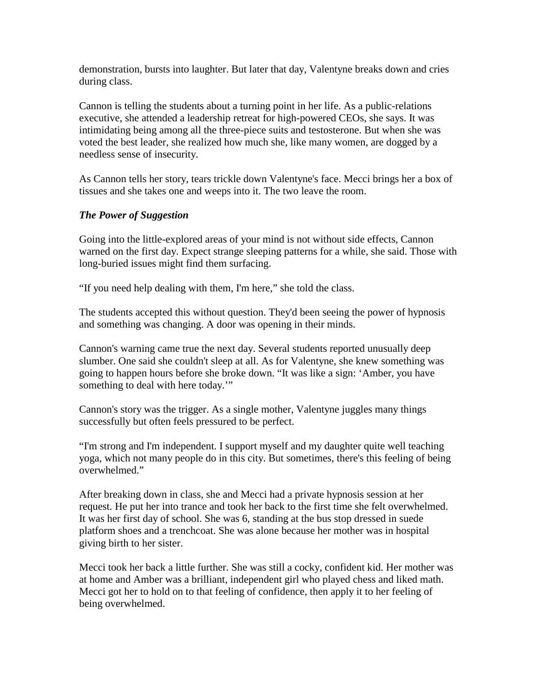demonstration, bursts into laughter. But later that day, Valentyne breaks down and cries during class.

Cannon is telling the students about a turning point in her life. As a public-relations executive, she attended a leadership retreat for high-powered CEOs, she says. It was intimidating being among all the three-piece suits and testosterone. But when she was voted the best leader, she realized how much she, like many women, are dogged by a needless sense of insecurity.

As Cannon tells her story, tears trickle down Valentyne's face. Mecci brings her a box of tissues and she takes one and weeps into it. The two leave the room.

## *The Power of Suggestion*

Going into the little-explored areas of your mind is not without side effects, Cannon warned on the first day. Expect strange sleeping patterns for a while, she said. Those with long-buried issues might find them surfacing.

"If you need help dealing with them, I'm here," she told the class.

The students accepted this without question. They'd been seeing the power of hypnosis and something was changing. A door was opening in their minds.

Cannon's warning came true the next day. Several students reported unusually deep slumber. One said she couldn't sleep at all. As for Valentyne, she knew something was going to happen hours before she broke down. "It was like a sign: 'Amber, you have something to deal with here today.'"

Cannon's story was the trigger. As a single mother, Valentyne juggles many things successfully but often feels pressured to be perfect.

"I'm strong and I'm independent. I support myself and my daughter quite well teaching yoga, which not many people do in this city. But sometimes, there's this feeling of being overwhelmed."

After breaking down in class, she and Mecci had a private hypnosis session at her request. He put her into trance and took her back to the first time she felt overwhelmed. It was her first day of school. She was 6, standing at the bus stop dressed in suede platform shoes and a trenchcoat. She was alone because her mother was in hospital giving birth to her sister.

Mecci took her back a little further. She was still a cocky, confident kid. Her mother was at home and Amber was a brilliant, independent girl who played chess and liked math. Mecci got her to hold on to that feeling of confidence, then apply it to her feeling of being overwhelmed.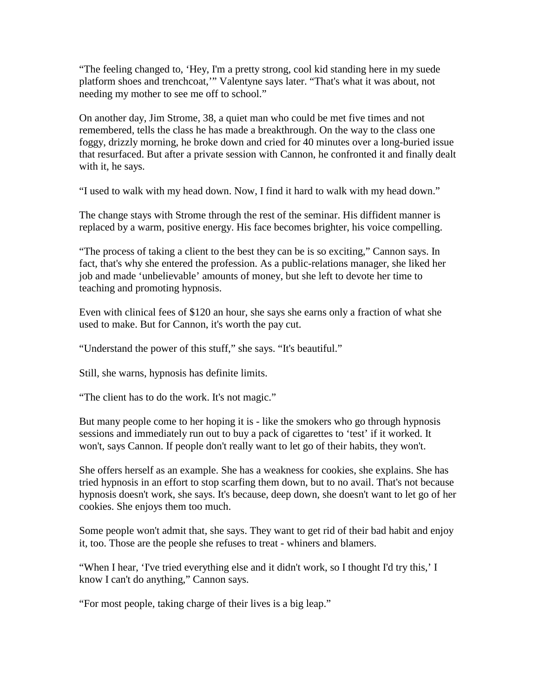"The feeling changed to, 'Hey, I'm a pretty strong, cool kid standing here in my suede platform shoes and trenchcoat,'" Valentyne says later. "That's what it was about, not needing my mother to see me off to school."

On another day, Jim Strome, 38, a quiet man who could be met five times and not remembered, tells the class he has made a breakthrough. On the way to the class one foggy, drizzly morning, he broke down and cried for 40 minutes over a long-buried issue that resurfaced. But after a private session with Cannon, he confronted it and finally dealt with it, he says.

"I used to walk with my head down. Now, I find it hard to walk with my head down."

The change stays with Strome through the rest of the seminar. His diffident manner is replaced by a warm, positive energy. His face becomes brighter, his voice compelling.

"The process of taking a client to the best they can be is so exciting," Cannon says. In fact, that's why she entered the profession. As a public-relations manager, she liked her job and made 'unbelievable' amounts of money, but she left to devote her time to teaching and promoting hypnosis.

Even with clinical fees of \$120 an hour, she says she earns only a fraction of what she used to make. But for Cannon, it's worth the pay cut.

"Understand the power of this stuff," she says. "It's beautiful."

Still, she warns, hypnosis has definite limits.

"The client has to do the work. It's not magic."

But many people come to her hoping it is - like the smokers who go through hypnosis sessions and immediately run out to buy a pack of cigarettes to 'test' if it worked. It won't, says Cannon. If people don't really want to let go of their habits, they won't.

She offers herself as an example. She has a weakness for cookies, she explains. She has tried hypnosis in an effort to stop scarfing them down, but to no avail. That's not because hypnosis doesn't work, she says. It's because, deep down, she doesn't want to let go of her cookies. She enjoys them too much.

Some people won't admit that, she says. They want to get rid of their bad habit and enjoy it, too. Those are the people she refuses to treat - whiners and blamers.

"When I hear, 'I've tried everything else and it didn't work, so I thought I'd try this,' I know I can't do anything," Cannon says.

"For most people, taking charge of their lives is a big leap."